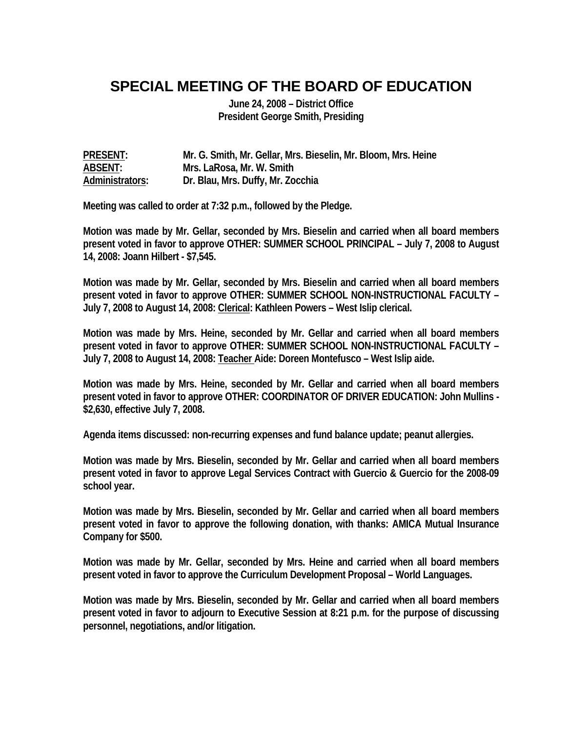## **SPECIAL MEETING OF THE BOARD OF EDUCATION**

**June 24, 2008 – District Office President George Smith, Presiding** 

**PRESENT: Mr. G. Smith, Mr. Gellar, Mrs. Bieselin, Mr. Bloom, Mrs. Heine ABSENT: Mrs. LaRosa, Mr. W. Smith Administrators: Dr. Blau, Mrs. Duffy, Mr. Zocchia** 

**Meeting was called to order at 7:32 p.m., followed by the Pledge.** 

**Motion was made by Mr. Gellar, seconded by Mrs. Bieselin and carried when all board members present voted in favor to approve OTHER: SUMMER SCHOOL PRINCIPAL – July 7, 2008 to August 14, 2008: Joann Hilbert - \$7,545.** 

**Motion was made by Mr. Gellar, seconded by Mrs. Bieselin and carried when all board members present voted in favor to approve OTHER: SUMMER SCHOOL NON-INSTRUCTIONAL FACULTY – July 7, 2008 to August 14, 2008: Clerical: Kathleen Powers – West Islip clerical.** 

**Motion was made by Mrs. Heine, seconded by Mr. Gellar and carried when all board members present voted in favor to approve OTHER: SUMMER SCHOOL NON-INSTRUCTIONAL FACULTY – July 7, 2008 to August 14, 2008: Teacher Aide: Doreen Montefusco – West Islip aide.** 

**Motion was made by Mrs. Heine, seconded by Mr. Gellar and carried when all board members present voted in favor to approve OTHER: COORDINATOR OF DRIVER EDUCATION: John Mullins - \$2,630, effective July 7, 2008.** 

**Agenda items discussed: non-recurring expenses and fund balance update; peanut allergies.** 

**Motion was made by Mrs. Bieselin, seconded by Mr. Gellar and carried when all board members present voted in favor to approve Legal Services Contract with Guercio & Guercio for the 2008-09 school year.** 

**Motion was made by Mrs. Bieselin, seconded by Mr. Gellar and carried when all board members present voted in favor to approve the following donation, with thanks: AMICA Mutual Insurance Company for \$500.** 

**Motion was made by Mr. Gellar, seconded by Mrs. Heine and carried when all board members present voted in favor to approve the Curriculum Development Proposal – World Languages.** 

**Motion was made by Mrs. Bieselin, seconded by Mr. Gellar and carried when all board members present voted in favor to adjourn to Executive Session at 8:21 p.m. for the purpose of discussing personnel, negotiations, and/or litigation.**